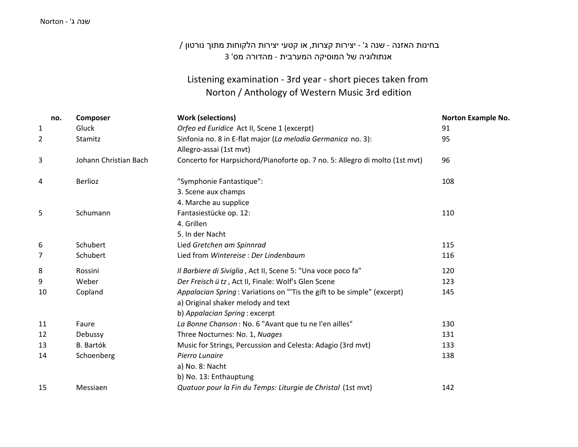### שנה <sup>ג</sup>' - Norton

# בחינות האזנה - שנה <sup>ג</sup>' - יצירות קצרות, או קטעי יצירות הלקוחות מתוך נורטון / אנתולוגיה של המוסיקה המערבית - מהדורה מס' 3

## Listening examination - 3rd year - short pieces taken from Norton / Anthology of Western Music 3rd edition

| no. | Composer              | <b>Work (selections)</b>                                                    | <b>Norton Example No.</b> |
|-----|-----------------------|-----------------------------------------------------------------------------|---------------------------|
| 1   | Gluck                 | Orfeo ed Euridice Act II, Scene 1 (excerpt)                                 | 91                        |
| 2   | Stamitz               | Sinfonia no. 8 in E-flat major (La melodia Germanica no. 3):                | 95                        |
|     |                       | Allegro-assai (1st mvt)                                                     |                           |
| 3   | Johann Christian Bach | Concerto for Harpsichord/Pianoforte op. 7 no. 5: Allegro di molto (1st mvt) | 96                        |
| 4   | <b>Berlioz</b>        | "Symphonie Fantastique":                                                    | 108                       |
|     |                       | 3. Scene aux champs                                                         |                           |
|     |                       | 4. Marche au supplice                                                       |                           |
| 5   | Schumann              | Fantasiestücke op. 12:                                                      | 110                       |
|     |                       | 4. Grillen                                                                  |                           |
|     |                       | 5. In der Nacht                                                             |                           |
| 6   | Schubert              | Lied Gretchen am Spinnrad                                                   | 115                       |
| 7   | Schubert              | Lied from Wintereise: Der Lindenbaum                                        | 116                       |
| 8   | Rossini               | Il Barbiere di Siviglia, Act II, Scene 5: "Una voce poco fa"                | 120                       |
| 9   | Weber                 | Der Freisch ütz, Act II, Finale: Wolf's Glen Scene                          | 123                       |
| 10  | Copland               | Appalacian Spring: Variations on "'Tis the gift to be simple" (excerpt)     | 145                       |
|     |                       | a) Original shaker melody and text                                          |                           |
|     |                       | b) Appalacian Spring: excerpt                                               |                           |
| 11  | Faure                 | La Bonne Chanson: No. 6 "Avant que tu ne l'en ailles"                       | 130                       |
| 12  | Debussy               | Three Nocturnes: No. 1, Nuages                                              | 131                       |
| 13  | <b>B.</b> Bartók      | Music for Strings, Percussion and Celesta: Adagio (3rd mvt)                 | 133                       |
| 14  | Schoenberg            | Pierro Lunaire                                                              | 138                       |
|     |                       | a) No. 8: Nacht                                                             |                           |
|     |                       | b) No. 13: Enthauptung                                                      |                           |
| 15  | Messiaen              | Quatuor pour la Fin du Temps: Liturgie de Christal (1st mvt)                | 142                       |
|     |                       |                                                                             |                           |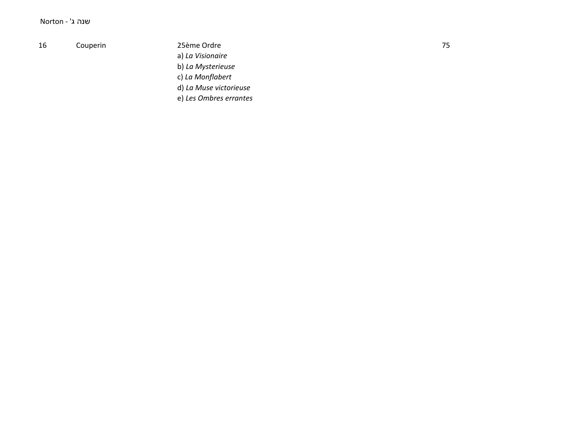#### שנה ג' - Norton

#### 16 Couperin

25ème Ordre a) La Visionaire b) La Mysterieuse c) La Monflabert d) La Muse victorieuse e) Les Ombres errantes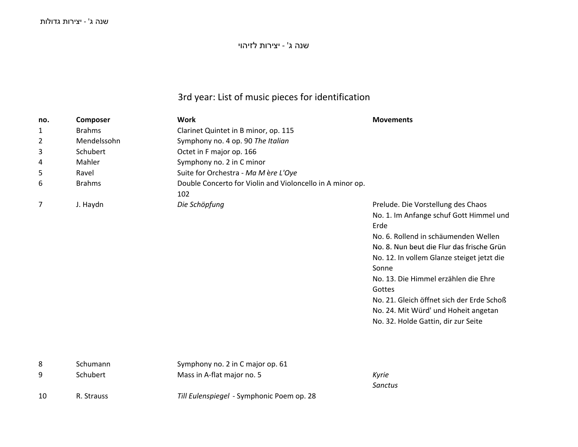שנה <sup>ג</sup>' - יצירות לזיהוי

# 3rd year: List of music pieces for identification

| no. | Composer      | <b>Work</b>                                               | <b>Movements</b>                                                                                                                                                                                                                                                                                                                                                                                                |
|-----|---------------|-----------------------------------------------------------|-----------------------------------------------------------------------------------------------------------------------------------------------------------------------------------------------------------------------------------------------------------------------------------------------------------------------------------------------------------------------------------------------------------------|
| 1   | <b>Brahms</b> | Clarinet Quintet in B minor, op. 115                      |                                                                                                                                                                                                                                                                                                                                                                                                                 |
| 2   | Mendelssohn   | Symphony no. 4 op. 90 The Italian                         |                                                                                                                                                                                                                                                                                                                                                                                                                 |
| 3   | Schubert      | Octet in F major op. 166                                  |                                                                                                                                                                                                                                                                                                                                                                                                                 |
| 4   | Mahler        | Symphony no. 2 in C minor                                 |                                                                                                                                                                                                                                                                                                                                                                                                                 |
| 5   | Ravel         | Suite for Orchestra - Ma Mère L'Oye                       |                                                                                                                                                                                                                                                                                                                                                                                                                 |
| 6   | <b>Brahms</b> | Double Concerto for Violin and Violoncello in A minor op. |                                                                                                                                                                                                                                                                                                                                                                                                                 |
|     |               | 102                                                       |                                                                                                                                                                                                                                                                                                                                                                                                                 |
| 7   | J. Haydn      | Die Schöpfung                                             | Prelude. Die Vorstellung des Chaos<br>No. 1. Im Anfange schuf Gott Himmel und<br>Erde<br>No. 6. Rollend in schäumenden Wellen<br>No. 8. Nun beut die Flur das frische Grün<br>No. 12. In vollem Glanze steiget jetzt die<br>Sonne<br>No. 13. Die Himmel erzählen die Ehre<br>Gottes<br>No. 21. Gleich öffnet sich der Erde Schoß<br>No. 24. Mit Würd' und Hoheit angetan<br>No. 32. Holde Gattin, dir zur Seite |
| 8   | Schumann      | Symphony no. 2 in C major op. 61                          |                                                                                                                                                                                                                                                                                                                                                                                                                 |
| 9   | Schubert      | Mass in A-flat major no. 5                                | Kyrie                                                                                                                                                                                                                                                                                                                                                                                                           |
|     |               |                                                           | <b>Sanctus</b>                                                                                                                                                                                                                                                                                                                                                                                                  |
| 10  | R. Strauss    | Till Eulenspiegel - Symphonic Poem op. 28                 |                                                                                                                                                                                                                                                                                                                                                                                                                 |